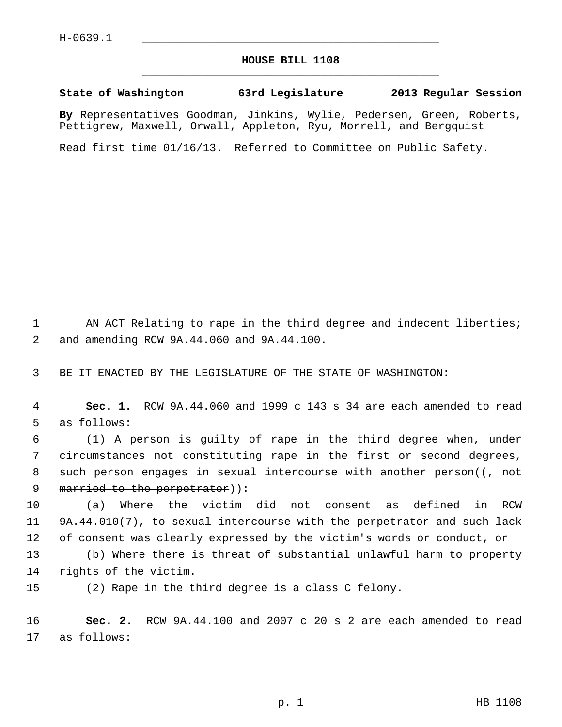## **HOUSE BILL 1108** \_\_\_\_\_\_\_\_\_\_\_\_\_\_\_\_\_\_\_\_\_\_\_\_\_\_\_\_\_\_\_\_\_\_\_\_\_\_\_\_\_\_\_\_\_

## **State of Washington 63rd Legislature 2013 Regular Session**

**By** Representatives Goodman, Jinkins, Wylie, Pedersen, Green, Roberts, Pettigrew, Maxwell, Orwall, Appleton, Ryu, Morrell, and Bergquist

Read first time 01/16/13. Referred to Committee on Public Safety.

1 AN ACT Relating to rape in the third degree and indecent liberties; 2 and amending RCW 9A.44.060 and 9A.44.100.

3 BE IT ENACTED BY THE LEGISLATURE OF THE STATE OF WASHINGTON:

 4 **Sec. 1.** RCW 9A.44.060 and 1999 c 143 s 34 are each amended to read 5 as follows:

 6 (1) A person is guilty of rape in the third degree when, under 7 circumstances not constituting rape in the first or second degrees, 8 such person engages in sexual intercourse with another person( $(\frac{1}{f} - \frac{1}{f})$ 9 married to the perpetrator)):

10 (a) Where the victim did not consent as defined in RCW 11 9A.44.010(7), to sexual intercourse with the perpetrator and such lack 12 of consent was clearly expressed by the victim's words or conduct, or

13 (b) Where there is threat of substantial unlawful harm to property 14 rights of the victim.

15 (2) Rape in the third degree is a class C felony.

16 **Sec. 2.** RCW 9A.44.100 and 2007 c 20 s 2 are each amended to read 17 as follows: